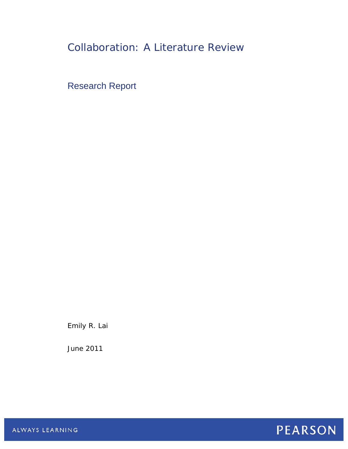# Collaboration: A Literature Review

Research Report

Emily R. Lai

June 2011



ALWAYS LEARNING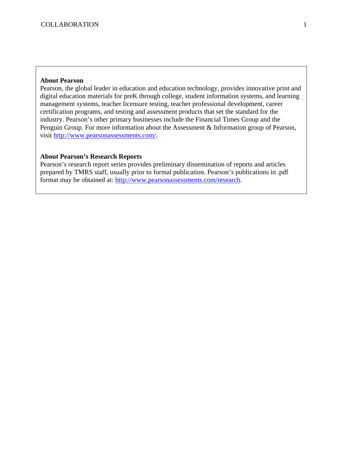#### **About Pearson**

Pearson, the global leader in education and education technology, provides innovative print and digital education materials for preK through college, student information systems, and learning management systems, teacher licensure testing, teacher professional development, career certification programs, and testing and assessment products that set the standard for the industry. Pearson's other primary businesses include the Financial Times Group and the Penguin Group. For more information about the Assessment & Information group of Pearson, visit<http://www.pearsonassessments.com/>.

## **About Pearson's Research Reports**

Pearson's research report series provides preliminary dissemination of reports and articles prepared by TMRS staff, usually prior to formal publication. Pearson's publications in .pdf format may be obtained at: [http://www.pearsonassessments.com/research.](http://www.pearsonassessments.com/research)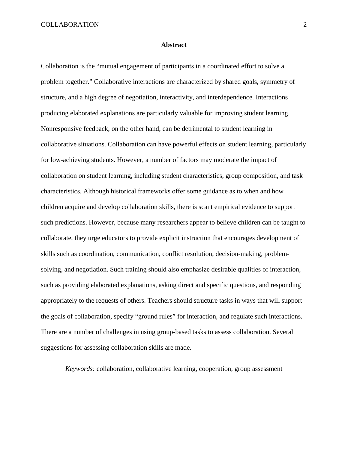#### **Abstract**

Collaboration is the "mutual engagement of participants in a coordinated effort to solve a problem together." Collaborative interactions are characterized by shared goals, symmetry of structure, and a high degree of negotiation, interactivity, and interdependence. Interactions producing elaborated explanations are particularly valuable for improving student learning. Nonresponsive feedback, on the other hand, can be detrimental to student learning in collaborative situations. Collaboration can have powerful effects on student learning, particularly for low-achieving students. However, a number of factors may moderate the impact of collaboration on student learning, including student characteristics, group composition, and task characteristics. Although historical frameworks offer some guidance as to when and how children acquire and develop collaboration skills, there is scant empirical evidence to support such predictions. However, because many researchers appear to believe children can be taught to collaborate, they urge educators to provide explicit instruction that encourages development of skills such as coordination, communication, conflict resolution, decision-making, problemsolving, and negotiation. Such training should also emphasize desirable qualities of interaction, such as providing elaborated explanations, asking direct and specific questions, and responding appropriately to the requests of others. Teachers should structure tasks in ways that will support the goals of collaboration, specify "ground rules" for interaction, and regulate such interactions. There are a number of challenges in using group-based tasks to assess collaboration. Several suggestions for assessing collaboration skills are made.

*Keywords:* collaboration, collaborative learning, cooperation, group assessment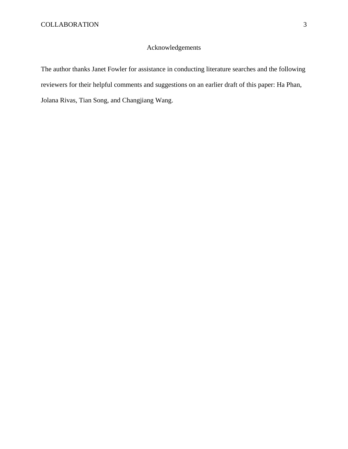## Acknowledgements

The author thanks Janet Fowler for assistance in conducting literature searches and the following reviewers for their helpful comments and suggestions on an earlier draft of this paper: Ha Phan, Jolana Rivas, Tian Song, and Changjiang Wang.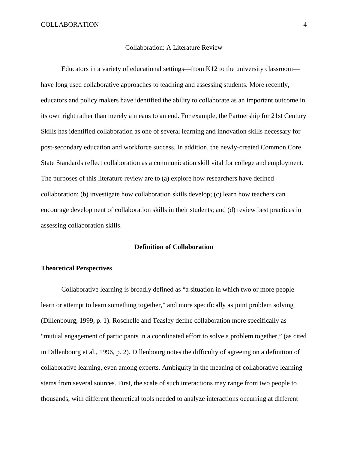#### Collaboration: A Literature Review

Educators in a variety of educational settings—from K12 to the university classroom have long used collaborative approaches to teaching and assessing students. More recently, educators and policy makers have identified the ability to collaborate as an important outcome in its own right rather than merely a means to an end. For example, the Partnership for 21st Century Skills has identified collaboration as one of several learning and innovation skills necessary for post-secondary education and workforce success. In addition, the newly-created Common Core State Standards reflect collaboration as a communication skill vital for college and employment. The purposes of this literature review are to (a) explore how researchers have defined collaboration; (b) investigate how collaboration skills develop; (c) learn how teachers can encourage development of collaboration skills in their students; and (d) review best practices in assessing collaboration skills.

#### **Definition of Collaboration**

#### **Theoretical Perspectives**

 Collaborative learning is broadly defined as "a situation in which two or more people learn or attempt to learn something together," and more specifically as joint problem solving (Dillenbourg, 1999, p. 1). Roschelle and Teasley define collaboration more specifically as "mutual engagement of participants in a coordinated effort to solve a problem together," (as cited in Dillenbourg et al., 1996, p. 2). Dillenbourg notes the difficulty of agreeing on a definition of collaborative learning, even among experts. Ambiguity in the meaning of collaborative learning stems from several sources. First, the scale of such interactions may range from two people to thousands, with different theoretical tools needed to analyze interactions occurring at different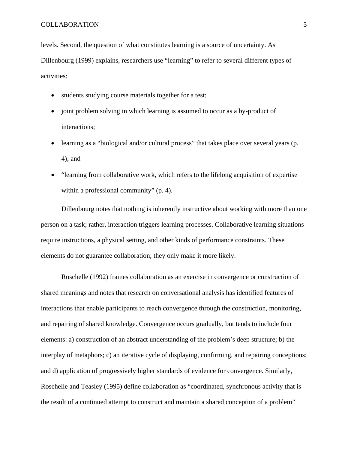levels. Second, the question of what constitutes learning is a source of uncertainty. As Dillenbourg (1999) explains, researchers use "learning" to refer to several different types of activities:

- students studying course materials together for a test;
- joint problem solving in which learning is assumed to occur as a by-product of interactions;
- learning as a "biological and/or cultural process" that takes place over several years (p. 4); and
- "learning from collaborative work, which refers to the lifelong acquisition of expertise within a professional community" (p. 4).

 Dillenbourg notes that nothing is inherently instructive about working with more than one person on a task; rather, interaction triggers learning processes. Collaborative learning situations require instructions, a physical setting, and other kinds of performance constraints. These elements do not guarantee collaboration; they only make it more likely.

 Roschelle (1992) frames collaboration as an exercise in convergence or construction of shared meanings and notes that research on conversational analysis has identified features of interactions that enable participants to reach convergence through the construction, monitoring, and repairing of shared knowledge. Convergence occurs gradually, but tends to include four elements: a) construction of an abstract understanding of the problem's deep structure; b) the interplay of metaphors; c) an iterative cycle of displaying, confirming, and repairing conceptions; and d) application of progressively higher standards of evidence for convergence. Similarly, Roschelle and Teasley (1995) define collaboration as "coordinated, synchronous activity that is the result of a continued attempt to construct and maintain a shared conception of a problem"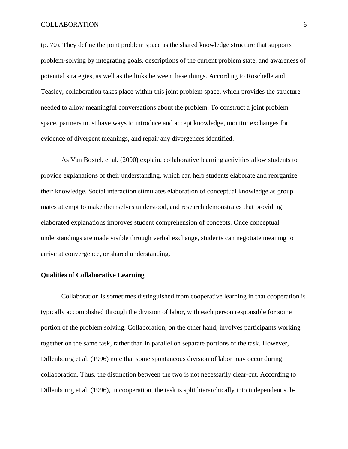(p. 70). They define the joint problem space as the shared knowledge structure that supports problem-solving by integrating goals, descriptions of the current problem state, and awareness of potential strategies, as well as the links between these things. According to Roschelle and Teasley, collaboration takes place within this joint problem space, which provides the structure needed to allow meaningful conversations about the problem. To construct a joint problem space, partners must have ways to introduce and accept knowledge, monitor exchanges for evidence of divergent meanings, and repair any divergences identified.

 As Van Boxtel, et al. (2000) explain, collaborative learning activities allow students to provide explanations of their understanding, which can help students elaborate and reorganize their knowledge. Social interaction stimulates elaboration of conceptual knowledge as group mates attempt to make themselves understood, and research demonstrates that providing elaborated explanations improves student comprehension of concepts. Once conceptual understandings are made visible through verbal exchange, students can negotiate meaning to arrive at convergence, or shared understanding.

#### **Qualities of Collaborative Learning**

 Collaboration is sometimes distinguished from cooperative learning in that cooperation is typically accomplished through the division of labor, with each person responsible for some portion of the problem solving. Collaboration, on the other hand, involves participants working together on the same task, rather than in parallel on separate portions of the task. However, Dillenbourg et al. (1996) note that some spontaneous division of labor may occur during collaboration. Thus, the distinction between the two is not necessarily clear-cut. According to Dillenbourg et al. (1996), in cooperation, the task is split hierarchically into independent sub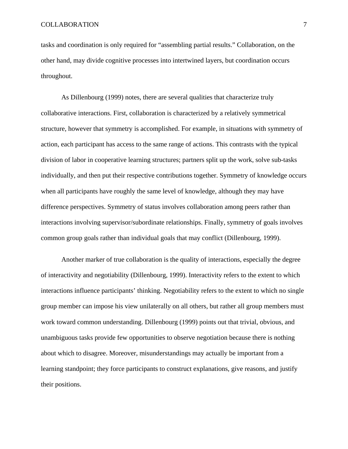tasks and coordination is only required for "assembling partial results." Collaboration, on the other hand, may divide cognitive processes into intertwined layers, but coordination occurs throughout.

 As Dillenbourg (1999) notes, there are several qualities that characterize truly collaborative interactions. First, collaboration is characterized by a relatively symmetrical structure, however that symmetry is accomplished. For example, in situations with symmetry of action, each participant has access to the same range of actions. This contrasts with the typical division of labor in cooperative learning structures; partners split up the work, solve sub-tasks individually, and then put their respective contributions together. Symmetry of knowledge occurs when all participants have roughly the same level of knowledge, although they may have difference perspectives. Symmetry of status involves collaboration among peers rather than interactions involving supervisor/subordinate relationships. Finally, symmetry of goals involves common group goals rather than individual goals that may conflict (Dillenbourg, 1999).

 Another marker of true collaboration is the quality of interactions, especially the degree of interactivity and negotiability (Dillenbourg, 1999). Interactivity refers to the extent to which interactions influence participants' thinking. Negotiability refers to the extent to which no single group member can impose his view unilaterally on all others, but rather all group members must work toward common understanding. Dillenbourg (1999) points out that trivial, obvious, and unambiguous tasks provide few opportunities to observe negotiation because there is nothing about which to disagree. Moreover, misunderstandings may actually be important from a learning standpoint; they force participants to construct explanations, give reasons, and justify their positions.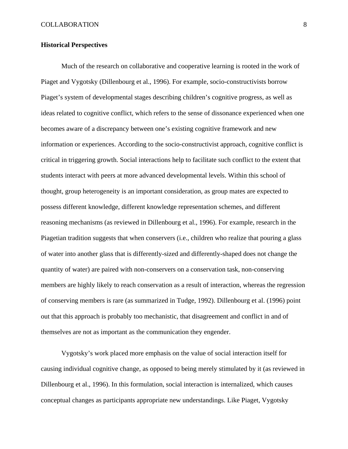#### **Historical Perspectives**

 Much of the research on collaborative and cooperative learning is rooted in the work of Piaget and Vygotsky (Dillenbourg et al., 1996). For example, socio-constructivists borrow Piaget's system of developmental stages describing children's cognitive progress, as well as ideas related to cognitive conflict, which refers to the sense of dissonance experienced when one becomes aware of a discrepancy between one's existing cognitive framework and new information or experiences. According to the socio-constructivist approach, cognitive conflict is critical in triggering growth. Social interactions help to facilitate such conflict to the extent that students interact with peers at more advanced developmental levels. Within this school of thought, group heterogeneity is an important consideration, as group mates are expected to possess different knowledge, different knowledge representation schemes, and different reasoning mechanisms (as reviewed in Dillenbourg et al., 1996). For example, research in the Piagetian tradition suggests that when conservers (i.e., children who realize that pouring a glass of water into another glass that is differently-sized and differently-shaped does not change the quantity of water) are paired with non-conservers on a conservation task, non-conserving members are highly likely to reach conservation as a result of interaction, whereas the regression of conserving members is rare (as summarized in Tudge, 1992). Dillenbourg et al. (1996) point out that this approach is probably too mechanistic, that disagreement and conflict in and of themselves are not as important as the communication they engender.

 Vygotsky's work placed more emphasis on the value of social interaction itself for causing individual cognitive change, as opposed to being merely stimulated by it (as reviewed in Dillenbourg et al., 1996). In this formulation, social interaction is internalized, which causes conceptual changes as participants appropriate new understandings. Like Piaget, Vygotsky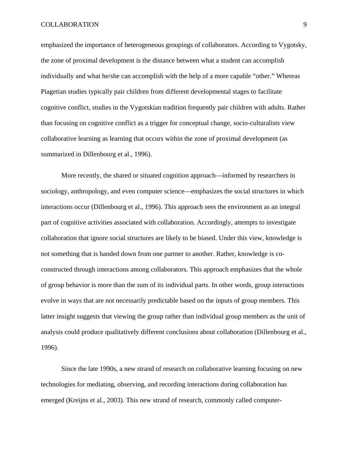emphasized the importance of heterogeneous groupings of collaborators. According to Vygotsky, the zone of proximal development is the distance between what a student can accomplish individually and what he/she can accomplish with the help of a more capable "other." Whereas Piagetian studies typically pair children from different developmental stages to facilitate cognitive conflict, studies in the Vygotskian tradition frequently pair children with adults. Rather than focusing on cognitive conflict as a trigger for conceptual change, socio-culturalists view collaborative learning as learning that occurs within the zone of proximal development (as summarized in Dillenbourg et al., 1996).

 More recently, the shared or situated cognition approach—informed by researchers in sociology, anthropology, and even computer science—emphasizes the social structures in which interactions occur (Dillenbourg et al., 1996). This approach sees the environment as an integral part of cognitive activities associated with collaboration. Accordingly, attempts to investigate collaboration that ignore social structures are likely to be biased. Under this view, knowledge is not something that is handed down from one partner to another. Rather, knowledge is coconstructed through interactions among collaborators. This approach emphasizes that the whole of group behavior is more than the sum of its individual parts. In other words, group interactions evolve in ways that are not necessarily predictable based on the inputs of group members. This latter insight suggests that viewing the group rather than individual group members as the unit of analysis could produce qualitatively different conclusions about collaboration (Dillenbourg et al., 1996).

 Since the late 1990s, a new strand of research on collaborative learning focusing on new technologies for mediating, observing, and recording interactions during collaboration has emerged (Kreijns et al., 2003). This new strand of research, commonly called computer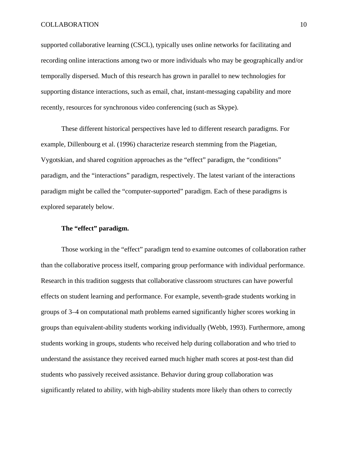supported collaborative learning (CSCL), typically uses online networks for facilitating and recording online interactions among two or more individuals who may be geographically and/or temporally dispersed. Much of this research has grown in parallel to new technologies for supporting distance interactions, such as email, chat, instant-messaging capability and more recently, resources for synchronous video conferencing (such as Skype).

 These different historical perspectives have led to different research paradigms. For example, Dillenbourg et al. (1996) characterize research stemming from the Piagetian, Vygotskian, and shared cognition approaches as the "effect" paradigm, the "conditions" paradigm, and the "interactions" paradigm, respectively. The latest variant of the interactions paradigm might be called the "computer-supported" paradigm. Each of these paradigms is explored separately below.

## **The "effect" paradigm.**

 Those working in the "effect" paradigm tend to examine outcomes of collaboration rather than the collaborative process itself, comparing group performance with individual performance. Research in this tradition suggests that collaborative classroom structures can have powerful effects on student learning and performance. For example, seventh-grade students working in groups of 3–4 on computational math problems earned significantly higher scores working in groups than equivalent-ability students working individually (Webb, 1993). Furthermore, among students working in groups, students who received help during collaboration and who tried to understand the assistance they received earned much higher math scores at post-test than did students who passively received assistance. Behavior during group collaboration was significantly related to ability, with high-ability students more likely than others to correctly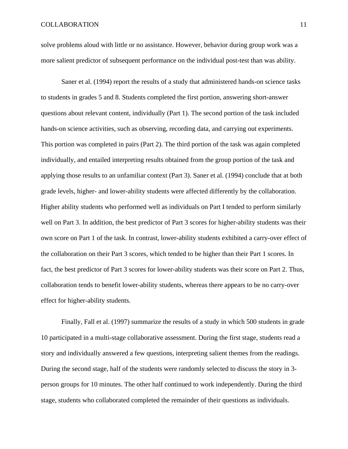solve problems aloud with little or no assistance. However, behavior during group work was a more salient predictor of subsequent performance on the individual post-test than was ability.

 Saner et al. (1994) report the results of a study that administered hands-on science tasks to students in grades 5 and 8. Students completed the first portion, answering short-answer questions about relevant content, individually (Part 1). The second portion of the task included hands-on science activities, such as observing, recording data, and carrying out experiments. This portion was completed in pairs (Part 2). The third portion of the task was again completed individually, and entailed interpreting results obtained from the group portion of the task and applying those results to an unfamiliar context (Part 3). Saner et al. (1994) conclude that at both grade levels, higher- and lower-ability students were affected differently by the collaboration. Higher ability students who performed well as individuals on Part I tended to perform similarly well on Part 3. In addition, the best predictor of Part 3 scores for higher-ability students was their own score on Part 1 of the task. In contrast, lower-ability students exhibited a carry-over effect of the collaboration on their Part 3 scores, which tended to be higher than their Part 1 scores. In fact, the best predictor of Part 3 scores for lower-ability students was their score on Part 2. Thus, collaboration tends to benefit lower-ability students, whereas there appears to be no carry-over effect for higher-ability students.

 Finally, Fall et al. (1997) summarize the results of a study in which 500 students in grade 10 participated in a multi-stage collaborative assessment. During the first stage, students read a story and individually answered a few questions, interpreting salient themes from the readings. During the second stage, half of the students were randomly selected to discuss the story in 3 person groups for 10 minutes. The other half continued to work independently. During the third stage, students who collaborated completed the remainder of their questions as individuals.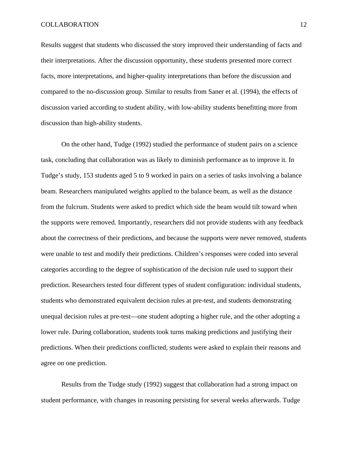Results suggest that students who discussed the story improved their understanding of facts and their interpretations. After the discussion opportunity, these students presented more correct facts, more interpretations, and higher-quality interpretations than before the discussion and compared to the no-discussion group. Similar to results from Saner et al. (1994), the effects of discussion varied according to student ability, with low-ability students benefitting more from discussion than high-ability students.

 On the other hand, Tudge (1992) studied the performance of student pairs on a science task, concluding that collaboration was as likely to diminish performance as to improve it. In Tudge's study, 153 students aged 5 to 9 worked in pairs on a series of tasks involving a balance beam. Researchers manipulated weights applied to the balance beam, as well as the distance from the fulcrum. Students were asked to predict which side the beam would tilt toward when the supports were removed. Importantly, researchers did not provide students with any feedback about the correctness of their predictions, and because the supports were never removed, students were unable to test and modify their predictions. Children's responses were coded into several categories according to the degree of sophistication of the decision rule used to support their prediction. Researchers tested four different types of student configuration: individual students, students who demonstrated equivalent decision rules at pre-test, and students demonstrating unequal decision rules at pre-test—one student adopting a higher rule, and the other adopting a lower rule. During collaboration, students took turns making predictions and justifying their predictions. When their predictions conflicted, students were asked to explain their reasons and agree on one prediction.

 Results from the Tudge study (1992) suggest that collaboration had a strong impact on student performance, with changes in reasoning persisting for several weeks afterwards. Tudge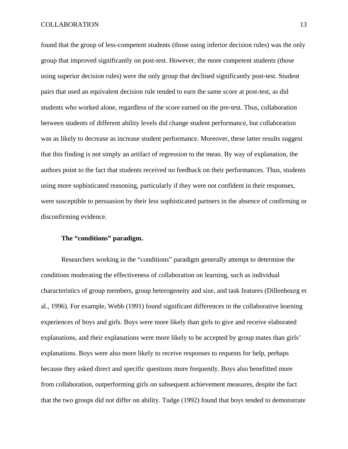found that the group of less-competent students (those using inferior decision rules) was the only group that improved significantly on post-test. However, the more competent students (those using superior decision rules) were the only group that declined significantly post-test. Student pairs that used an equivalent decision rule tended to earn the same score at post-test, as did students who worked alone, regardless of the score earned on the pre-test. Thus, collaboration between students of different ability levels did change student performance, but collaboration was as likely to decrease as increase student performance. Moreover, these latter results suggest that this finding is not simply an artifact of regression to the mean. By way of explanation, the authors point to the fact that students received no feedback on their performances. Thus, students using more sophisticated reasoning, particularly if they were not confident in their responses, were susceptible to persuasion by their less sophisticated partners in the absence of confirming or disconfirming evidence.

## **The "conditions" paradigm.**

 Researchers working in the "conditions" paradigm generally attempt to determine the conditions moderating the effectiveness of collaboration on learning, such as individual characteristics of group members, group heterogeneity and size, and task features (Dillenbourg et al., 1996). For example, Webb (1991) found significant differences in the collaborative learning experiences of boys and girls. Boys were more likely than girls to give and receive elaborated explanations, and their explanations were more likely to be accepted by group mates than girls' explanations. Boys were also more likely to receive responses to requests for help, perhaps because they asked direct and specific questions more frequently. Boys also benefitted more from collaboration, outperforming girls on subsequent achievement measures, despite the fact that the two groups did not differ on ability. Tudge (1992) found that boys tended to demonstrate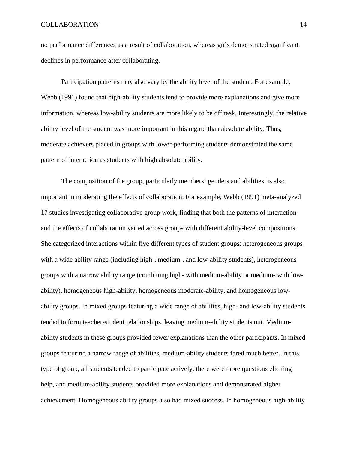no performance differences as a result of collaboration, whereas girls demonstrated significant declines in performance after collaborating.

 Participation patterns may also vary by the ability level of the student. For example, Webb (1991) found that high-ability students tend to provide more explanations and give more information, whereas low-ability students are more likely to be off task. Interestingly, the relative ability level of the student was more important in this regard than absolute ability. Thus, moderate achievers placed in groups with lower-performing students demonstrated the same pattern of interaction as students with high absolute ability.

 The composition of the group, particularly members' genders and abilities, is also important in moderating the effects of collaboration. For example, Webb (1991) meta-analyzed 17 studies investigating collaborative group work, finding that both the patterns of interaction and the effects of collaboration varied across groups with different ability-level compositions. She categorized interactions within five different types of student groups: heterogeneous groups with a wide ability range (including high-, medium-, and low-ability students), heterogeneous groups with a narrow ability range (combining high- with medium-ability or medium- with lowability), homogeneous high-ability, homogeneous moderate-ability, and homogeneous lowability groups. In mixed groups featuring a wide range of abilities, high- and low-ability students tended to form teacher-student relationships, leaving medium-ability students out. Mediumability students in these groups provided fewer explanations than the other participants. In mixed groups featuring a narrow range of abilities, medium-ability students fared much better. In this type of group, all students tended to participate actively, there were more questions eliciting help, and medium-ability students provided more explanations and demonstrated higher achievement. Homogeneous ability groups also had mixed success. In homogeneous high-ability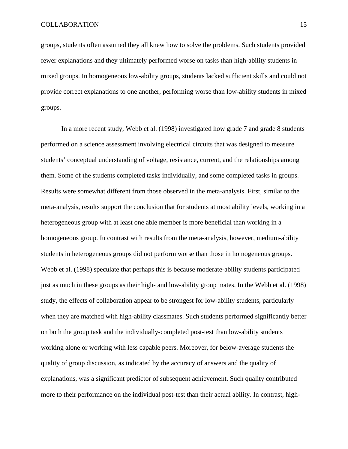groups, students often assumed they all knew how to solve the problems. Such students provided fewer explanations and they ultimately performed worse on tasks than high-ability students in mixed groups. In homogeneous low-ability groups, students lacked sufficient skills and could not provide correct explanations to one another, performing worse than low-ability students in mixed groups.

 In a more recent study, Webb et al. (1998) investigated how grade 7 and grade 8 students performed on a science assessment involving electrical circuits that was designed to measure students' conceptual understanding of voltage, resistance, current, and the relationships among them. Some of the students completed tasks individually, and some completed tasks in groups. Results were somewhat different from those observed in the meta-analysis. First, similar to the meta-analysis, results support the conclusion that for students at most ability levels, working in a heterogeneous group with at least one able member is more beneficial than working in a homogeneous group. In contrast with results from the meta-analysis, however, medium-ability students in heterogeneous groups did not perform worse than those in homogeneous groups. Webb et al. (1998) speculate that perhaps this is because moderate-ability students participated just as much in these groups as their high- and low-ability group mates. In the Webb et al. (1998) study, the effects of collaboration appear to be strongest for low-ability students, particularly when they are matched with high-ability classmates. Such students performed significantly better on both the group task and the individually-completed post-test than low-ability students working alone or working with less capable peers. Moreover, for below-average students the quality of group discussion, as indicated by the accuracy of answers and the quality of explanations, was a significant predictor of subsequent achievement. Such quality contributed more to their performance on the individual post-test than their actual ability. In contrast, high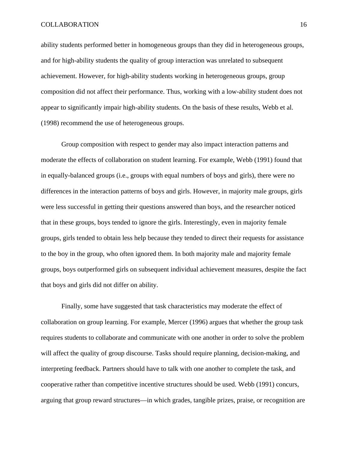ability students performed better in homogeneous groups than they did in heterogeneous groups, and for high-ability students the quality of group interaction was unrelated to subsequent achievement. However, for high-ability students working in heterogeneous groups, group composition did not affect their performance. Thus, working with a low-ability student does not appear to significantly impair high-ability students. On the basis of these results, Webb et al. (1998) recommend the use of heterogeneous groups.

 Group composition with respect to gender may also impact interaction patterns and moderate the effects of collaboration on student learning. For example, Webb (1991) found that in equally-balanced groups (i.e., groups with equal numbers of boys and girls), there were no differences in the interaction patterns of boys and girls. However, in majority male groups, girls were less successful in getting their questions answered than boys, and the researcher noticed that in these groups, boys tended to ignore the girls. Interestingly, even in majority female groups, girls tended to obtain less help because they tended to direct their requests for assistance to the boy in the group, who often ignored them. In both majority male and majority female groups, boys outperformed girls on subsequent individual achievement measures, despite the fact that boys and girls did not differ on ability.

 Finally, some have suggested that task characteristics may moderate the effect of collaboration on group learning. For example, Mercer (1996) argues that whether the group task requires students to collaborate and communicate with one another in order to solve the problem will affect the quality of group discourse. Tasks should require planning, decision-making, and interpreting feedback. Partners should have to talk with one another to complete the task, and cooperative rather than competitive incentive structures should be used. Webb (1991) concurs, arguing that group reward structures—in which grades, tangible prizes, praise, or recognition are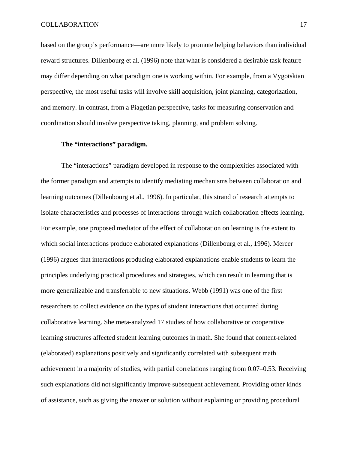based on the group's performance—are more likely to promote helping behaviors than individual reward structures. Dillenbourg et al. (1996) note that what is considered a desirable task feature may differ depending on what paradigm one is working within. For example, from a Vygotskian perspective, the most useful tasks will involve skill acquisition, joint planning, categorization, and memory. In contrast, from a Piagetian perspective, tasks for measuring conservation and coordination should involve perspective taking, planning, and problem solving.

## **The "interactions" paradigm.**

 The "interactions" paradigm developed in response to the complexities associated with the former paradigm and attempts to identify mediating mechanisms between collaboration and learning outcomes (Dillenbourg et al., 1996). In particular, this strand of research attempts to isolate characteristics and processes of interactions through which collaboration effects learning. For example, one proposed mediator of the effect of collaboration on learning is the extent to which social interactions produce elaborated explanations (Dillenbourg et al., 1996). Mercer (1996) argues that interactions producing elaborated explanations enable students to learn the principles underlying practical procedures and strategies, which can result in learning that is more generalizable and transferrable to new situations. Webb (1991) was one of the first researchers to collect evidence on the types of student interactions that occurred during collaborative learning. She meta-analyzed 17 studies of how collaborative or cooperative learning structures affected student learning outcomes in math. She found that content-related (elaborated) explanations positively and significantly correlated with subsequent math achievement in a majority of studies, with partial correlations ranging from 0.07–0.53. Receiving such explanations did not significantly improve subsequent achievement. Providing other kinds of assistance, such as giving the answer or solution without explaining or providing procedural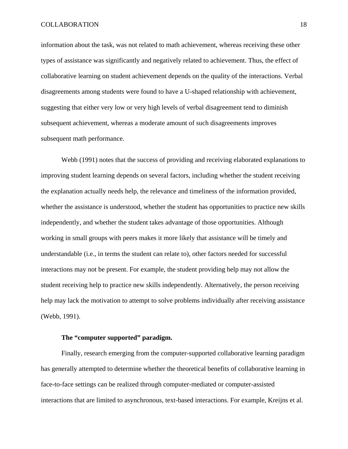information about the task, was not related to math achievement, whereas receiving these other types of assistance was significantly and negatively related to achievement. Thus, the effect of collaborative learning on student achievement depends on the quality of the interactions. Verbal disagreements among students were found to have a U-shaped relationship with achievement, suggesting that either very low or very high levels of verbal disagreement tend to diminish subsequent achievement, whereas a moderate amount of such disagreements improves subsequent math performance.

 Webb (1991) notes that the success of providing and receiving elaborated explanations to improving student learning depends on several factors, including whether the student receiving the explanation actually needs help, the relevance and timeliness of the information provided, whether the assistance is understood, whether the student has opportunities to practice new skills independently, and whether the student takes advantage of those opportunities. Although working in small groups with peers makes it more likely that assistance will be timely and understandable (i.e., in terms the student can relate to), other factors needed for successful interactions may not be present. For example, the student providing help may not allow the student receiving help to practice new skills independently. Alternatively, the person receiving help may lack the motivation to attempt to solve problems individually after receiving assistance (Webb, 1991).

## **The "computer supported" paradigm.**

Finally, research emerging from the computer-supported collaborative learning paradigm has generally attempted to determine whether the theoretical benefits of collaborative learning in face-to-face settings can be realized through computer-mediated or computer-assisted interactions that are limited to asynchronous, text-based interactions. For example, Kreijns et al.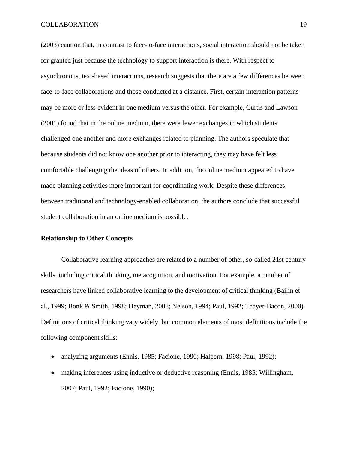(2003) caution that, in contrast to face-to-face interactions, social interaction should not be taken for granted just because the technology to support interaction is there. With respect to asynchronous, text-based interactions, research suggests that there are a few differences between face-to-face collaborations and those conducted at a distance. First, certain interaction patterns may be more or less evident in one medium versus the other. For example, Curtis and Lawson (2001) found that in the online medium, there were fewer exchanges in which students challenged one another and more exchanges related to planning. The authors speculate that because students did not know one another prior to interacting, they may have felt less comfortable challenging the ideas of others. In addition, the online medium appeared to have made planning activities more important for coordinating work. Despite these differences between traditional and technology-enabled collaboration, the authors conclude that successful student collaboration in an online medium is possible.

#### **Relationship to Other Concepts**

 Collaborative learning approaches are related to a number of other, so-called 21st century skills, including critical thinking, metacognition, and motivation. For example, a number of researchers have linked collaborative learning to the development of critical thinking (Bailin et al., 1999; Bonk & Smith, 1998; Heyman, 2008; Nelson, 1994; Paul, 1992; Thayer-Bacon, 2000). Definitions of critical thinking vary widely, but common elements of most definitions include the following component skills:

- analyzing arguments (Ennis, 1985; Facione, 1990; Halpern, 1998; Paul, 1992);
- making inferences using inductive or deductive reasoning (Ennis, 1985; Willingham, 2007; Paul, 1992; Facione, 1990);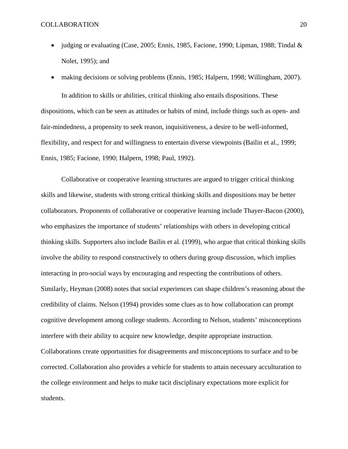- judging or evaluating (Case, 2005; Ennis, 1985, Facione, 1990; Lipman, 1988; Tindal  $\&$ Nolet, 1995); and
- making decisions or solving problems (Ennis, 1985; Halpern, 1998; Willingham, 2007).

 In addition to skills or abilities, critical thinking also entails dispositions. These dispositions, which can be seen as attitudes or habits of mind, include things such as open- and fair-mindedness, a propensity to seek reason, inquisitiveness, a desire to be well-informed, flexibility, and respect for and willingness to entertain diverse viewpoints (Bailin et al., 1999; Ennis, 1985; Facione, 1990; Halpern, 1998; Paul, 1992).

 Collaborative or cooperative learning structures are argued to trigger critical thinking skills and likewise, students with strong critical thinking skills and dispositions may be better collaborators. Proponents of collaborative or cooperative learning include Thayer-Bacon (2000), who emphasizes the importance of students' relationships with others in developing critical thinking skills. Supporters also include Bailin et al. (1999), who argue that critical thinking skills involve the ability to respond constructively to others during group discussion, which implies interacting in pro-social ways by encouraging and respecting the contributions of others. Similarly, Heyman (2008) notes that social experiences can shape children's reasoning about the credibility of claims. Nelson (1994) provides some clues as to how collaboration can prompt cognitive development among college students. According to Nelson, students' misconceptions interfere with their ability to acquire new knowledge, despite appropriate instruction. Collaborations create opportunities for disagreements and misconceptions to surface and to be corrected. Collaboration also provides a vehicle for students to attain necessary acculturation to the college environment and helps to make tacit disciplinary expectations more explicit for students.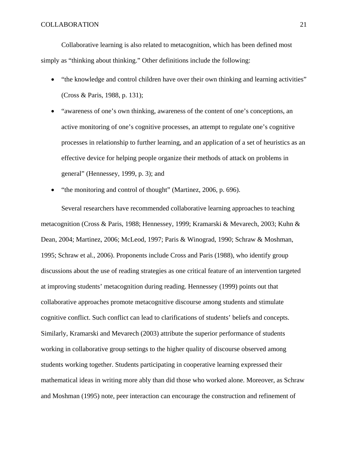Collaborative learning is also related to metacognition, which has been defined most simply as "thinking about thinking." Other definitions include the following:

- "the knowledge and control children have over their own thinking and learning activities" (Cross & Paris, 1988, p. 131);
- "awareness of one's own thinking, awareness of the content of one's conceptions, an active monitoring of one's cognitive processes, an attempt to regulate one's cognitive processes in relationship to further learning, and an application of a set of heuristics as an effective device for helping people organize their methods of attack on problems in general" (Hennessey, 1999, p. 3); and
- "the monitoring and control of thought" (Martinez, 2006, p. 696).

 Several researchers have recommended collaborative learning approaches to teaching metacognition (Cross & Paris, 1988; Hennessey, 1999; Kramarski & Mevarech, 2003; Kuhn & Dean, 2004; Martinez, 2006; McLeod, 1997; Paris & Winograd, 1990; Schraw & Moshman, 1995; Schraw et al., 2006). Proponents include Cross and Paris (1988), who identify group discussions about the use of reading strategies as one critical feature of an intervention targeted at improving students' metacognition during reading. Hennessey (1999) points out that collaborative approaches promote metacognitive discourse among students and stimulate cognitive conflict. Such conflict can lead to clarifications of students' beliefs and concepts. Similarly, Kramarski and Mevarech (2003) attribute the superior performance of students working in collaborative group settings to the higher quality of discourse observed among students working together. Students participating in cooperative learning expressed their mathematical ideas in writing more ably than did those who worked alone. Moreover, as Schraw and Moshman (1995) note, peer interaction can encourage the construction and refinement of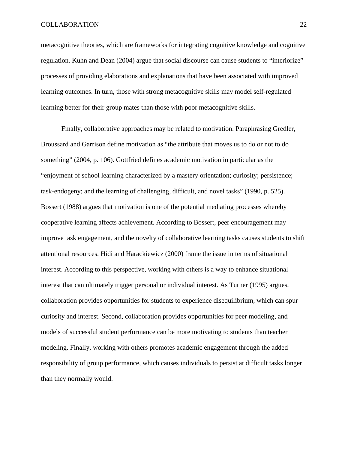metacognitive theories, which are frameworks for integrating cognitive knowledge and cognitive regulation. Kuhn and Dean (2004) argue that social discourse can cause students to "interiorize" processes of providing elaborations and explanations that have been associated with improved learning outcomes. In turn, those with strong metacognitive skills may model self-regulated learning better for their group mates than those with poor metacognitive skills.

 Finally, collaborative approaches may be related to motivation. Paraphrasing Gredler, Broussard and Garrison define motivation as "the attribute that moves us to do or not to do something" (2004, p. 106). Gottfried defines academic motivation in particular as the "enjoyment of school learning characterized by a mastery orientation; curiosity; persistence; task-endogeny; and the learning of challenging, difficult, and novel tasks" (1990, p. 525). Bossert (1988) argues that motivation is one of the potential mediating processes whereby cooperative learning affects achievement. According to Bossert, peer encouragement may improve task engagement, and the novelty of collaborative learning tasks causes students to shift attentional resources. Hidi and Harackiewicz (2000) frame the issue in terms of situational interest. According to this perspective, working with others is a way to enhance situational interest that can ultimately trigger personal or individual interest. As Turner (1995) argues, collaboration provides opportunities for students to experience disequilibrium, which can spur curiosity and interest. Second, collaboration provides opportunities for peer modeling, and models of successful student performance can be more motivating to students than teacher modeling. Finally, working with others promotes academic engagement through the added responsibility of group performance, which causes individuals to persist at difficult tasks longer than they normally would.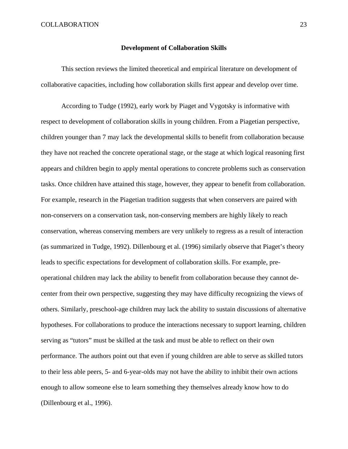#### **Development of Collaboration Skills**

 This section reviews the limited theoretical and empirical literature on development of collaborative capacities, including how collaboration skills first appear and develop over time.

 According to Tudge (1992), early work by Piaget and Vygotsky is informative with respect to development of collaboration skills in young children. From a Piagetian perspective, children younger than 7 may lack the developmental skills to benefit from collaboration because they have not reached the concrete operational stage, or the stage at which logical reasoning first appears and children begin to apply mental operations to concrete problems such as conservation tasks. Once children have attained this stage, however, they appear to benefit from collaboration. For example, research in the Piagetian tradition suggests that when conservers are paired with non-conservers on a conservation task, non-conserving members are highly likely to reach conservation, whereas conserving members are very unlikely to regress as a result of interaction (as summarized in Tudge, 1992). Dillenbourg et al. (1996) similarly observe that Piaget's theory leads to specific expectations for development of collaboration skills. For example, preoperational children may lack the ability to benefit from collaboration because they cannot decenter from their own perspective, suggesting they may have difficulty recognizing the views of others. Similarly, preschool-age children may lack the ability to sustain discussions of alternative hypotheses. For collaborations to produce the interactions necessary to support learning, children serving as "tutors" must be skilled at the task and must be able to reflect on their own performance. The authors point out that even if young children are able to serve as skilled tutors to their less able peers, 5- and 6-year-olds may not have the ability to inhibit their own actions enough to allow someone else to learn something they themselves already know how to do (Dillenbourg et al., 1996).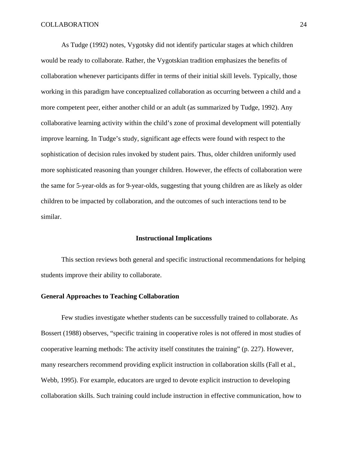As Tudge (1992) notes, Vygotsky did not identify particular stages at which children would be ready to collaborate. Rather, the Vygotskian tradition emphasizes the benefits of collaboration whenever participants differ in terms of their initial skill levels. Typically, those working in this paradigm have conceptualized collaboration as occurring between a child and a more competent peer, either another child or an adult (as summarized by Tudge, 1992). Any collaborative learning activity within the child's zone of proximal development will potentially improve learning. In Tudge's study, significant age effects were found with respect to the sophistication of decision rules invoked by student pairs. Thus, older children uniformly used more sophisticated reasoning than younger children. However, the effects of collaboration were the same for 5-year-olds as for 9-year-olds, suggesting that young children are as likely as older children to be impacted by collaboration, and the outcomes of such interactions tend to be similar.

#### **Instructional Implications**

 This section reviews both general and specific instructional recommendations for helping students improve their ability to collaborate.

## **General Approaches to Teaching Collaboration**

 Few studies investigate whether students can be successfully trained to collaborate. As Bossert (1988) observes, "specific training in cooperative roles is not offered in most studies of cooperative learning methods: The activity itself constitutes the training" (p. 227). However, many researchers recommend providing explicit instruction in collaboration skills (Fall et al., Webb, 1995). For example, educators are urged to devote explicit instruction to developing collaboration skills. Such training could include instruction in effective communication, how to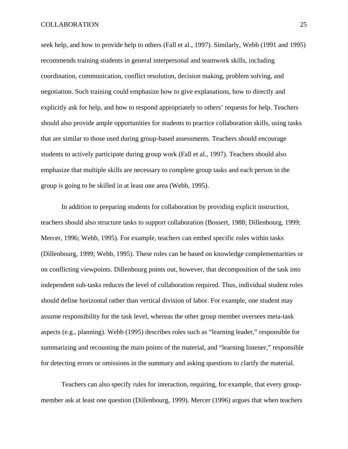seek help, and how to provide help to others (Fall et al., 1997). Similarly, Webb (1991 and 1995) recommends training students in general interpersonal and teamwork skills, including coordination, communication, conflict resolution, decision making, problem solving, and negotiation. Such training could emphasize how to give explanations, how to directly and explicitly ask for help, and how to respond appropriately to others' requests for help. Teachers should also provide ample opportunities for students to practice collaboration skills, using tasks that are similar to those used during group-based assessments. Teachers should encourage students to actively participate during group work (Fall et al., 1997). Teachers should also emphasize that multiple skills are necessary to complete group tasks and each person in the group is going to be skilled in at least one area (Webb, 1995).

 In addition to preparing students for collaboration by providing explicit instruction, teachers should also structure tasks to support collaboration (Bossert, 1988; Dillenbourg, 1999; Mercer, 1996; Webb, 1995). For example, teachers can embed specific roles within tasks (Dillenbourg, 1999; Webb, 1995). These roles can be based on knowledge complementarities or on conflicting viewpoints. Dillenbourg points out, however, that decomposition of the task into independent sub-tasks reduces the level of collaboration required. Thus, individual student roles should define horizontal rather than vertical division of labor. For example, one student may assume responsibility for the task level, whereas the other group member oversees meta-task aspects (e.g., planning). Webb (1995) describes roles such as "learning leader," responsible for summarizing and recounting the main points of the material, and "learning listener," responsible for detecting errors or omissions in the summary and asking questions to clarify the material.

 Teachers can also specify rules for interaction, requiring, for example, that every groupmember ask at least one question (Dillenbourg, 1999). Mercer (1996) argues that when teachers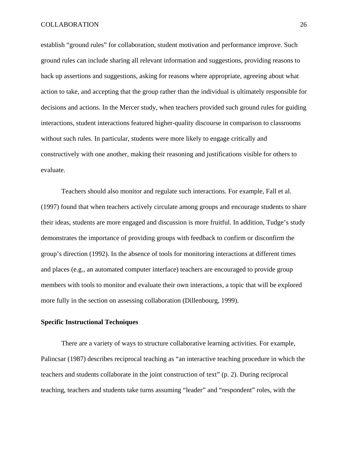establish "ground rules" for collaboration, student motivation and performance improve. Such ground rules can include sharing all relevant information and suggestions, providing reasons to back up assertions and suggestions, asking for reasons where appropriate, agreeing about what action to take, and accepting that the group rather than the individual is ultimately responsible for decisions and actions. In the Mercer study, when teachers provided such ground rules for guiding interactions, student interactions featured higher-quality discourse in comparison to classrooms without such rules. In particular, students were more likely to engage critically and constructively with one another, making their reasoning and justifications visible for others to evaluate.

 Teachers should also monitor and regulate such interactions. For example, Fall et al. (1997) found that when teachers actively circulate among groups and encourage students to share their ideas, students are more engaged and discussion is more fruitful. In addition, Tudge's study demonstrates the importance of providing groups with feedback to confirm or disconfirm the group's direction (1992). In the absence of tools for monitoring interactions at different times and places (e.g., an automated computer interface) teachers are encouraged to provide group members with tools to monitor and evaluate their own interactions, a topic that will be explored more fully in the section on assessing collaboration (Dillenbourg, 1999).

## **Specific Instructional Techniques**

 There are a variety of ways to structure collaborative learning activities. For example, Palincsar (1987) describes reciprocal teaching as "an interactive teaching procedure in which the teachers and students collaborate in the joint construction of text" (p. 2). During reciprocal teaching, teachers and students take turns assuming "leader" and "respondent" roles, with the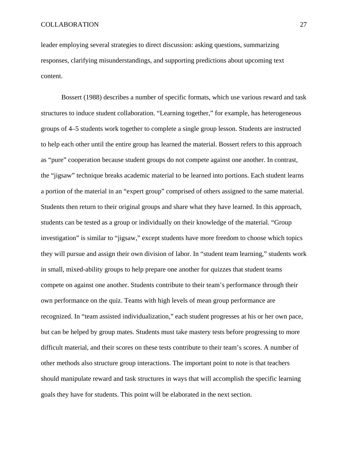leader employing several strategies to direct discussion: asking questions, summarizing responses, clarifying misunderstandings, and supporting predictions about upcoming text content.

 Bossert (1988) describes a number of specific formats, which use various reward and task structures to induce student collaboration. "Learning together," for example, has heterogeneous groups of 4–5 students work together to complete a single group lesson. Students are instructed to help each other until the entire group has learned the material. Bossert refers to this approach as "pure" cooperation because student groups do not compete against one another. In contrast, the "jigsaw" technique breaks academic material to be learned into portions. Each student learns a portion of the material in an "expert group" comprised of others assigned to the same material. Students then return to their original groups and share what they have learned. In this approach, students can be tested as a group or individually on their knowledge of the material. "Group investigation" is similar to "jigsaw," except students have more freedom to choose which topics they will pursue and assign their own division of labor. In "student team learning," students work in small, mixed-ability groups to help prepare one another for quizzes that student teams compete on against one another. Students contribute to their team's performance through their own performance on the quiz. Teams with high levels of mean group performance are recognized. In "team assisted individualization," each student progresses at his or her own pace, but can be helped by group mates. Students must take mastery tests before progressing to more difficult material, and their scores on these tests contribute to their team's scores. A number of other methods also structure group interactions. The important point to note is that teachers should manipulate reward and task structures in ways that will accomplish the specific learning goals they have for students. This point will be elaborated in the next section.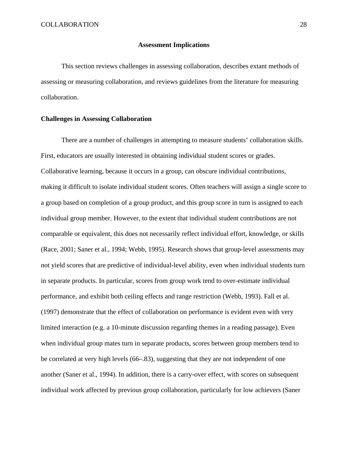#### **Assessment Implications**

 This section reviews challenges in assessing collaboration, describes extant methods of assessing or measuring collaboration, and reviews guidelines from the literature for measuring collaboration.

#### **Challenges in Assessing Collaboration**

 There are a number of challenges in attempting to measure students' collaboration skills. First, educators are usually interested in obtaining individual student scores or grades. Collaborative learning, because it occurs in a group, can obscure individual contributions, making it difficult to isolate individual student scores. Often teachers will assign a single score to a group based on completion of a group product, and this group score in turn is assigned to each individual group member. However, to the extent that individual student contributions are not comparable or equivalent, this does not necessarily reflect individual effort, knowledge, or skills (Race, 2001; Saner et al., 1994; Webb, 1995). Research shows that group-level assessments may not yield scores that are predictive of individual-level ability, even when individual students turn in separate products. In particular, scores from group work tend to over-estimate individual performance, and exhibit both ceiling effects and range restriction (Webb, 1993). Fall et al. (1997) demonstrate that the effect of collaboration on performance is evident even with very limited interaction (e.g. a 10-minute discussion regarding themes in a reading passage). Even when individual group mates turn in separate products, scores between group members tend to be correlated at very high levels (66–.83), suggesting that they are not independent of one another (Saner et al., 1994). In addition, there is a carry-over effect, with scores on subsequent individual work affected by previous group collaboration, particularly for low achievers (Saner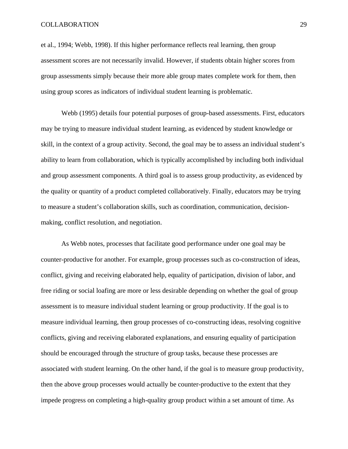et al., 1994; Webb, 1998). If this higher performance reflects real learning, then group assessment scores are not necessarily invalid. However, if students obtain higher scores from group assessments simply because their more able group mates complete work for them, then using group scores as indicators of individual student learning is problematic.

 Webb (1995) details four potential purposes of group-based assessments. First, educators may be trying to measure individual student learning, as evidenced by student knowledge or skill, in the context of a group activity. Second, the goal may be to assess an individual student's ability to learn from collaboration, which is typically accomplished by including both individual and group assessment components. A third goal is to assess group productivity, as evidenced by the quality or quantity of a product completed collaboratively. Finally, educators may be trying to measure a student's collaboration skills, such as coordination, communication, decisionmaking, conflict resolution, and negotiation.

 As Webb notes, processes that facilitate good performance under one goal may be counter-productive for another. For example, group processes such as co-construction of ideas, conflict, giving and receiving elaborated help, equality of participation, division of labor, and free riding or social loafing are more or less desirable depending on whether the goal of group assessment is to measure individual student learning or group productivity. If the goal is to measure individual learning, then group processes of co-constructing ideas, resolving cognitive conflicts, giving and receiving elaborated explanations, and ensuring equality of participation should be encouraged through the structure of group tasks, because these processes are associated with student learning. On the other hand, if the goal is to measure group productivity, then the above group processes would actually be counter-productive to the extent that they impede progress on completing a high-quality group product within a set amount of time. As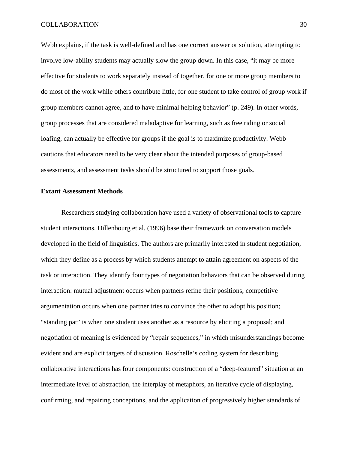Webb explains, if the task is well-defined and has one correct answer or solution, attempting to involve low-ability students may actually slow the group down. In this case, "it may be more effective for students to work separately instead of together, for one or more group members to do most of the work while others contribute little, for one student to take control of group work if group members cannot agree, and to have minimal helping behavior" (p. 249). In other words, group processes that are considered maladaptive for learning, such as free riding or social loafing, can actually be effective for groups if the goal is to maximize productivity. Webb cautions that educators need to be very clear about the intended purposes of group-based assessments, and assessment tasks should be structured to support those goals.

#### **Extant Assessment Methods**

 Researchers studying collaboration have used a variety of observational tools to capture student interactions. Dillenbourg et al. (1996) base their framework on conversation models developed in the field of linguistics. The authors are primarily interested in student negotiation, which they define as a process by which students attempt to attain agreement on aspects of the task or interaction. They identify four types of negotiation behaviors that can be observed during interaction: mutual adjustment occurs when partners refine their positions; competitive argumentation occurs when one partner tries to convince the other to adopt his position; "standing pat" is when one student uses another as a resource by eliciting a proposal; and negotiation of meaning is evidenced by "repair sequences," in which misunderstandings become evident and are explicit targets of discussion. Roschelle's coding system for describing collaborative interactions has four components: construction of a "deep-featured" situation at an intermediate level of abstraction, the interplay of metaphors, an iterative cycle of displaying, confirming, and repairing conceptions, and the application of progressively higher standards of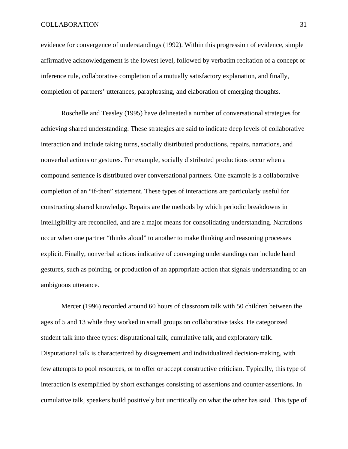evidence for convergence of understandings (1992). Within this progression of evidence, simple affirmative acknowledgement is the lowest level, followed by verbatim recitation of a concept or inference rule, collaborative completion of a mutually satisfactory explanation, and finally, completion of partners' utterances, paraphrasing, and elaboration of emerging thoughts.

 Roschelle and Teasley (1995) have delineated a number of conversational strategies for achieving shared understanding. These strategies are said to indicate deep levels of collaborative interaction and include taking turns, socially distributed productions, repairs, narrations, and nonverbal actions or gestures. For example, socially distributed productions occur when a compound sentence is distributed over conversational partners. One example is a collaborative completion of an "if-then" statement. These types of interactions are particularly useful for constructing shared knowledge. Repairs are the methods by which periodic breakdowns in intelligibility are reconciled, and are a major means for consolidating understanding. Narrations occur when one partner "thinks aloud" to another to make thinking and reasoning processes explicit. Finally, nonverbal actions indicative of converging understandings can include hand gestures, such as pointing, or production of an appropriate action that signals understanding of an ambiguous utterance.

 Mercer (1996) recorded around 60 hours of classroom talk with 50 children between the ages of 5 and 13 while they worked in small groups on collaborative tasks. He categorized student talk into three types: disputational talk, cumulative talk, and exploratory talk. Disputational talk is characterized by disagreement and individualized decision-making, with few attempts to pool resources, or to offer or accept constructive criticism. Typically, this type of interaction is exemplified by short exchanges consisting of assertions and counter-assertions. In cumulative talk, speakers build positively but uncritically on what the other has said. This type of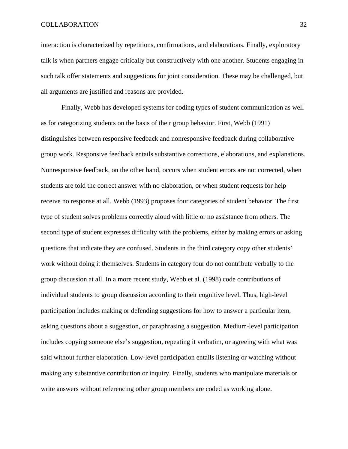interaction is characterized by repetitions, confirmations, and elaborations. Finally, exploratory talk is when partners engage critically but constructively with one another. Students engaging in such talk offer statements and suggestions for joint consideration. These may be challenged, but all arguments are justified and reasons are provided.

 Finally, Webb has developed systems for coding types of student communication as well as for categorizing students on the basis of their group behavior. First, Webb (1991) distinguishes between responsive feedback and nonresponsive feedback during collaborative group work. Responsive feedback entails substantive corrections, elaborations, and explanations. Nonresponsive feedback, on the other hand, occurs when student errors are not corrected, when students are told the correct answer with no elaboration, or when student requests for help receive no response at all. Webb (1993) proposes four categories of student behavior. The first type of student solves problems correctly aloud with little or no assistance from others. The second type of student expresses difficulty with the problems, either by making errors or asking questions that indicate they are confused. Students in the third category copy other students' work without doing it themselves. Students in category four do not contribute verbally to the group discussion at all. In a more recent study, Webb et al. (1998) code contributions of individual students to group discussion according to their cognitive level. Thus, high-level participation includes making or defending suggestions for how to answer a particular item, asking questions about a suggestion, or paraphrasing a suggestion. Medium-level participation includes copying someone else's suggestion, repeating it verbatim, or agreeing with what was said without further elaboration. Low-level participation entails listening or watching without making any substantive contribution or inquiry. Finally, students who manipulate materials or write answers without referencing other group members are coded as working alone.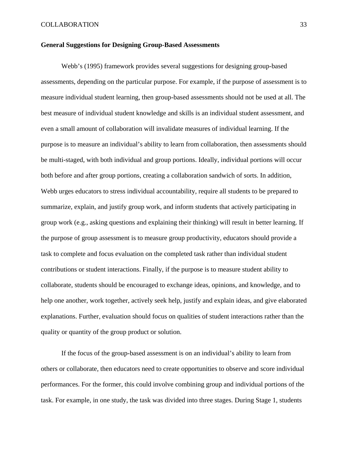#### **General Suggestions for Designing Group-Based Assessments**

 Webb's (1995) framework provides several suggestions for designing group-based assessments, depending on the particular purpose. For example, if the purpose of assessment is to measure individual student learning, then group-based assessments should not be used at all. The best measure of individual student knowledge and skills is an individual student assessment, and even a small amount of collaboration will invalidate measures of individual learning. If the purpose is to measure an individual's ability to learn from collaboration, then assessments should be multi-staged, with both individual and group portions. Ideally, individual portions will occur both before and after group portions, creating a collaboration sandwich of sorts. In addition, Webb urges educators to stress individual accountability, require all students to be prepared to summarize, explain, and justify group work, and inform students that actively participating in group work (e.g., asking questions and explaining their thinking) will result in better learning. If the purpose of group assessment is to measure group productivity, educators should provide a task to complete and focus evaluation on the completed task rather than individual student contributions or student interactions. Finally, if the purpose is to measure student ability to collaborate, students should be encouraged to exchange ideas, opinions, and knowledge, and to help one another, work together, actively seek help, justify and explain ideas, and give elaborated explanations. Further, evaluation should focus on qualities of student interactions rather than the quality or quantity of the group product or solution.

 If the focus of the group-based assessment is on an individual's ability to learn from others or collaborate, then educators need to create opportunities to observe and score individual performances. For the former, this could involve combining group and individual portions of the task. For example, in one study, the task was divided into three stages. During Stage 1, students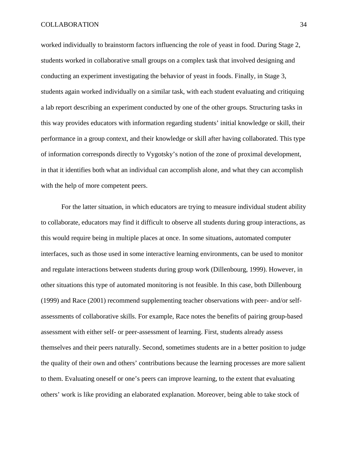worked individually to brainstorm factors influencing the role of yeast in food. During Stage 2, students worked in collaborative small groups on a complex task that involved designing and conducting an experiment investigating the behavior of yeast in foods. Finally, in Stage 3, students again worked individually on a similar task, with each student evaluating and critiquing a lab report describing an experiment conducted by one of the other groups. Structuring tasks in this way provides educators with information regarding students' initial knowledge or skill, their performance in a group context, and their knowledge or skill after having collaborated. This type of information corresponds directly to Vygotsky's notion of the zone of proximal development, in that it identifies both what an individual can accomplish alone, and what they can accomplish with the help of more competent peers.

 For the latter situation, in which educators are trying to measure individual student ability to collaborate, educators may find it difficult to observe all students during group interactions, as this would require being in multiple places at once. In some situations, automated computer interfaces, such as those used in some interactive learning environments, can be used to monitor and regulate interactions between students during group work (Dillenbourg, 1999). However, in other situations this type of automated monitoring is not feasible. In this case, both Dillenbourg (1999) and Race (2001) recommend supplementing teacher observations with peer- and/or selfassessments of collaborative skills. For example, Race notes the benefits of pairing group-based assessment with either self- or peer-assessment of learning. First, students already assess themselves and their peers naturally. Second, sometimes students are in a better position to judge the quality of their own and others' contributions because the learning processes are more salient to them. Evaluating oneself or one's peers can improve learning, to the extent that evaluating others' work is like providing an elaborated explanation. Moreover, being able to take stock of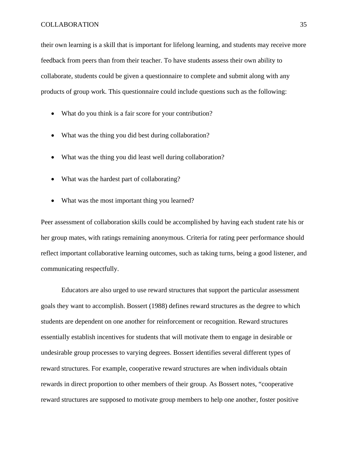their own learning is a skill that is important for lifelong learning, and students may receive more feedback from peers than from their teacher. To have students assess their own ability to collaborate, students could be given a questionnaire to complete and submit along with any products of group work. This questionnaire could include questions such as the following:

- What do you think is a fair score for your contribution?
- What was the thing you did best during collaboration?
- What was the thing you did least well during collaboration?
- What was the hardest part of collaborating?
- What was the most important thing you learned?

Peer assessment of collaboration skills could be accomplished by having each student rate his or her group mates, with ratings remaining anonymous. Criteria for rating peer performance should reflect important collaborative learning outcomes, such as taking turns, being a good listener, and communicating respectfully.

 Educators are also urged to use reward structures that support the particular assessment goals they want to accomplish. Bossert (1988) defines reward structures as the degree to which students are dependent on one another for reinforcement or recognition. Reward structures essentially establish incentives for students that will motivate them to engage in desirable or undesirable group processes to varying degrees. Bossert identifies several different types of reward structures. For example, cooperative reward structures are when individuals obtain rewards in direct proportion to other members of their group. As Bossert notes, "cooperative reward structures are supposed to motivate group members to help one another, foster positive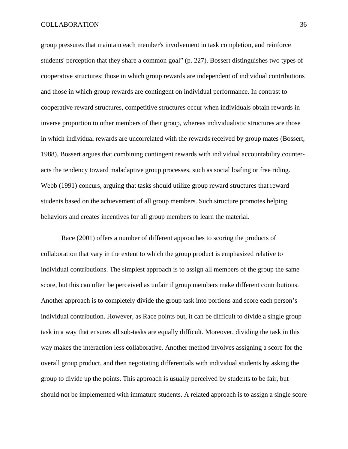group pressures that maintain each member's involvement in task completion, and reinforce students' perception that they share a common goal" (p. 227). Bossert distinguishes two types of cooperative structures: those in which group rewards are independent of individual contributions and those in which group rewards are contingent on individual performance. In contrast to cooperative reward structures, competitive structures occur when individuals obtain rewards in inverse proportion to other members of their group, whereas individualistic structures are those in which individual rewards are uncorrelated with the rewards received by group mates (Bossert, 1988). Bossert argues that combining contingent rewards with individual accountability counteracts the tendency toward maladaptive group processes, such as social loafing or free riding. Webb (1991) concurs, arguing that tasks should utilize group reward structures that reward students based on the achievement of all group members. Such structure promotes helping behaviors and creates incentives for all group members to learn the material.

 Race (2001) offers a number of different approaches to scoring the products of collaboration that vary in the extent to which the group product is emphasized relative to individual contributions. The simplest approach is to assign all members of the group the same score, but this can often be perceived as unfair if group members make different contributions. Another approach is to completely divide the group task into portions and score each person's individual contribution. However, as Race points out, it can be difficult to divide a single group task in a way that ensures all sub-tasks are equally difficult. Moreover, dividing the task in this way makes the interaction less collaborative. Another method involves assigning a score for the overall group product, and then negotiating differentials with individual students by asking the group to divide up the points. This approach is usually perceived by students to be fair, but should not be implemented with immature students. A related approach is to assign a single score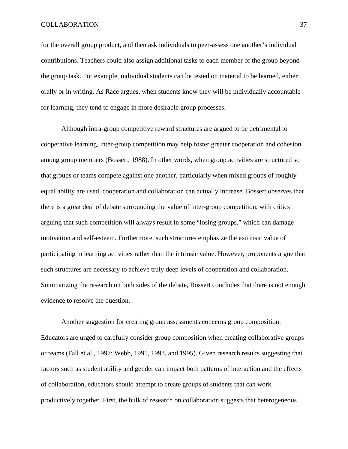for the overall group product, and then ask individuals to peer-assess one another's individual contributions. Teachers could also assign additional tasks to each member of the group beyond the group task. For example, individual students can be tested on material to be learned, either orally or in writing. As Race argues, when students know they will be individually accountable for learning, they tend to engage in more desirable group processes.

 Although intra-group competitive reward structures are argued to be detrimental to cooperative learning, inter-group competition may help foster greater cooperation and cohesion among group members (Bossert, 1988). In other words, when group activities are structured so that groups or teams compete against one another, particularly when mixed groups of roughly equal ability are used, cooperation and collaboration can actually increase. Bossert observes that there is a great deal of debate surrounding the value of inter-group competition, with critics arguing that such competition will always result in some "losing groups," which can damage motivation and self-esteem. Furthermore, such structures emphasize the extrinsic value of participating in learning activities rather than the intrinsic value. However, proponents argue that such structures are necessary to achieve truly deep levels of cooperation and collaboration. Summarizing the research on both sides of the debate, Bossert concludes that there is not enough evidence to resolve the question.

 Another suggestion for creating group assessments concerns group composition. Educators are urged to carefully consider group composition when creating collaborative groups or teams (Fall et al., 1997; Webb, 1991, 1993, and 1995). Given research results suggesting that factors such as student ability and gender can impact both patterns of interaction and the effects of collaboration, educators should attempt to create groups of students that can work productively together. First, the bulk of research on collaboration suggests that heterogeneous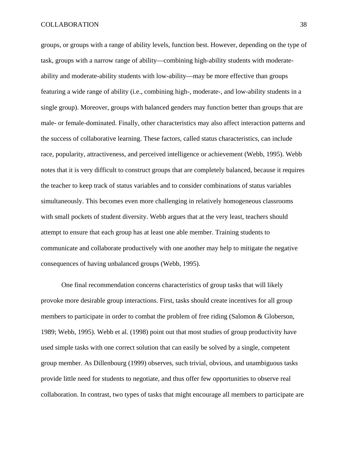groups, or groups with a range of ability levels, function best. However, depending on the type of task, groups with a narrow range of ability—combining high-ability students with moderateability and moderate-ability students with low-ability—may be more effective than groups featuring a wide range of ability (i.e., combining high-, moderate-, and low-ability students in a single group). Moreover, groups with balanced genders may function better than groups that are male- or female-dominated. Finally, other characteristics may also affect interaction patterns and the success of collaborative learning. These factors, called status characteristics, can include race, popularity, attractiveness, and perceived intelligence or achievement (Webb, 1995). Webb notes that it is very difficult to construct groups that are completely balanced, because it requires the teacher to keep track of status variables and to consider combinations of status variables simultaneously. This becomes even more challenging in relatively homogeneous classrooms with small pockets of student diversity. Webb argues that at the very least, teachers should attempt to ensure that each group has at least one able member. Training students to communicate and collaborate productively with one another may help to mitigate the negative consequences of having unbalanced groups (Webb, 1995).

 One final recommendation concerns characteristics of group tasks that will likely provoke more desirable group interactions. First, tasks should create incentives for all group members to participate in order to combat the problem of free riding (Salomon & Globerson, 1989; Webb, 1995). Webb et al. (1998) point out that most studies of group productivity have used simple tasks with one correct solution that can easily be solved by a single, competent group member. As Dillenbourg (1999) observes, such trivial, obvious, and unambiguous tasks provide little need for students to negotiate, and thus offer few opportunities to observe real collaboration. In contrast, two types of tasks that might encourage all members to participate are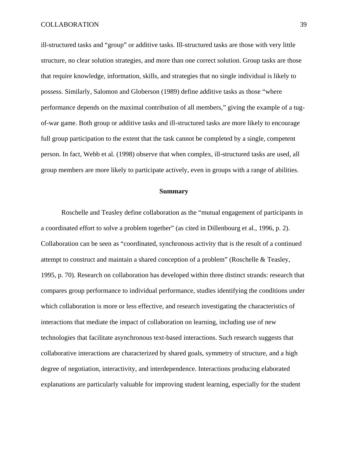ill-structured tasks and "group" or additive tasks. Ill-structured tasks are those with very little structure, no clear solution strategies, and more than one correct solution. Group tasks are those that require knowledge, information, skills, and strategies that no single individual is likely to possess. Similarly, Salomon and Globerson (1989) define additive tasks as those "where performance depends on the maximal contribution of all members," giving the example of a tugof-war game. Both group or additive tasks and ill-structured tasks are more likely to encourage full group participation to the extent that the task cannot be completed by a single, competent person. In fact, Webb et al. (1998) observe that when complex, ill-structured tasks are used, all group members are more likely to participate actively, even in groups with a range of abilities.

#### **Summary**

 Roschelle and Teasley define collaboration as the "mutual engagement of participants in a coordinated effort to solve a problem together" (as cited in Dillenbourg et al., 1996, p. 2). Collaboration can be seen as "coordinated, synchronous activity that is the result of a continued attempt to construct and maintain a shared conception of a problem" (Roschelle & Teasley, 1995, p. 70). Research on collaboration has developed within three distinct strands: research that compares group performance to individual performance, studies identifying the conditions under which collaboration is more or less effective, and research investigating the characteristics of interactions that mediate the impact of collaboration on learning, including use of new technologies that facilitate asynchronous text-based interactions. Such research suggests that collaborative interactions are characterized by shared goals, symmetry of structure, and a high degree of negotiation, interactivity, and interdependence. Interactions producing elaborated explanations are particularly valuable for improving student learning, especially for the student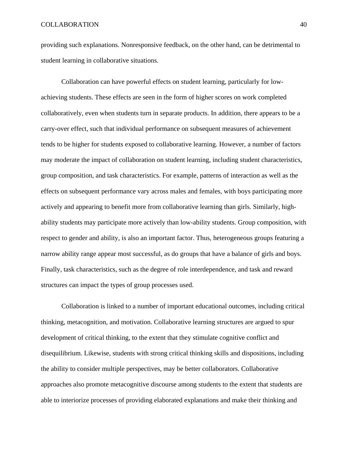providing such explanations. Nonresponsive feedback, on the other hand, can be detrimental to student learning in collaborative situations.

 Collaboration can have powerful effects on student learning, particularly for lowachieving students. These effects are seen in the form of higher scores on work completed collaboratively, even when students turn in separate products. In addition, there appears to be a carry-over effect, such that individual performance on subsequent measures of achievement tends to be higher for students exposed to collaborative learning. However, a number of factors may moderate the impact of collaboration on student learning, including student characteristics, group composition, and task characteristics. For example, patterns of interaction as well as the effects on subsequent performance vary across males and females, with boys participating more actively and appearing to benefit more from collaborative learning than girls. Similarly, highability students may participate more actively than low-ability students. Group composition, with respect to gender and ability, is also an important factor. Thus, heterogeneous groups featuring a narrow ability range appear most successful, as do groups that have a balance of girls and boys. Finally, task characteristics, such as the degree of role interdependence, and task and reward structures can impact the types of group processes used.

 Collaboration is linked to a number of important educational outcomes, including critical thinking, metacognition, and motivation. Collaborative learning structures are argued to spur development of critical thinking, to the extent that they stimulate cognitive conflict and disequilibrium. Likewise, students with strong critical thinking skills and dispositions, including the ability to consider multiple perspectives, may be better collaborators. Collaborative approaches also promote metacognitive discourse among students to the extent that students are able to interiorize processes of providing elaborated explanations and make their thinking and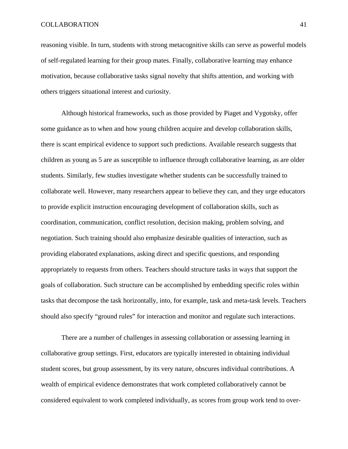reasoning visible. In turn, students with strong metacognitive skills can serve as powerful models of self-regulated learning for their group mates. Finally, collaborative learning may enhance motivation, because collaborative tasks signal novelty that shifts attention, and working with others triggers situational interest and curiosity.

 Although historical frameworks, such as those provided by Piaget and Vygotsky, offer some guidance as to when and how young children acquire and develop collaboration skills, there is scant empirical evidence to support such predictions. Available research suggests that children as young as 5 are as susceptible to influence through collaborative learning, as are older students. Similarly, few studies investigate whether students can be successfully trained to collaborate well. However, many researchers appear to believe they can, and they urge educators to provide explicit instruction encouraging development of collaboration skills, such as coordination, communication, conflict resolution, decision making, problem solving, and negotiation. Such training should also emphasize desirable qualities of interaction, such as providing elaborated explanations, asking direct and specific questions, and responding appropriately to requests from others. Teachers should structure tasks in ways that support the goals of collaboration. Such structure can be accomplished by embedding specific roles within tasks that decompose the task horizontally, into, for example, task and meta-task levels. Teachers should also specify "ground rules" for interaction and monitor and regulate such interactions.

 There are a number of challenges in assessing collaboration or assessing learning in collaborative group settings. First, educators are typically interested in obtaining individual student scores, but group assessment, by its very nature, obscures individual contributions. A wealth of empirical evidence demonstrates that work completed collaboratively cannot be considered equivalent to work completed individually, as scores from group work tend to over-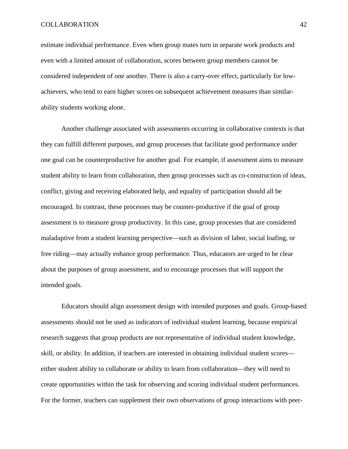estimate individual performance. Even when group mates turn in separate work products and even with a limited amount of collaboration, scores between group members cannot be considered independent of one another. There is also a carry-over effect, particularly for lowachievers, who tend to earn higher scores on subsequent achievement measures than similarability students working alone.

 Another challenge associated with assessments occurring in collaborative contexts is that they can fulfill different purposes, and group processes that facilitate good performance under one goal can be counterproductive for another goal. For example, if assessment aims to measure student ability to learn from collaboration, then group processes such as co-construction of ideas, conflict, giving and receiving elaborated help, and equality of participation should all be encouraged. In contrast, these processes may be counter-productive if the goal of group assessment is to measure group productivity. In this case, group processes that are considered maladaptive from a student learning perspective—such as division of labor, social loafing, or free riding—may actually enhance group performance. Thus, educators are urged to be clear about the purposes of group assessment, and to encourage processes that will support the intended goals.

 Educators should align assessment design with intended purposes and goals. Group-based assessments should not be used as indicators of individual student learning, because empirical research suggests that group products are not representative of individual student knowledge, skill, or ability. In addition, if teachers are interested in obtaining individual student scores either student ability to collaborate or ability to learn from collaboration—they will need to create opportunities within the task for observing and scoring individual student performances. For the former, teachers can supplement their own observations of group interactions with peer-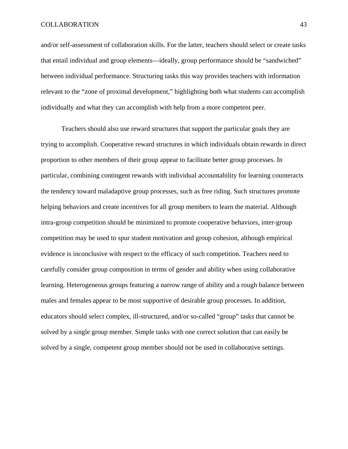and/or self-assessment of collaboration skills. For the latter, teachers should select or create tasks that entail individual and group elements—ideally, group performance should be "sandwiched" between individual performance. Structuring tasks this way provides teachers with information relevant to the "zone of proximal development," highlighting both what students can accomplish individually and what they can accomplish with help from a more competent peer.

 Teachers should also use reward structures that support the particular goals they are trying to accomplish. Cooperative reward structures in which individuals obtain rewards in direct proportion to other members of their group appear to facilitate better group processes. In particular, combining contingent rewards with individual accountability for learning counteracts the tendency toward maladaptive group processes, such as free riding. Such structures promote helping behaviors and create incentives for all group members to learn the material. Although intra-group competition should be minimized to promote cooperative behaviors, inter-group competition may be used to spur student motivation and group cohesion, although empirical evidence is inconclusive with respect to the efficacy of such competition. Teachers need to carefully consider group composition in terms of gender and ability when using collaborative learning. Heterogeneous groups featuring a narrow range of ability and a rough balance between males and females appear to be most supportive of desirable group processes. In addition, educators should select complex, ill-structured, and/or so-called "group" tasks that cannot be solved by a single group member. Simple tasks with one correct solution that can easily be solved by a single, competent group member should not be used in collaborative settings.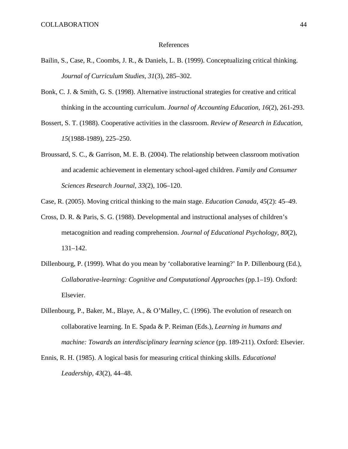#### References

- Bailin, S., Case, R., Coombs, J. R., & Daniels, L. B. (1999). Conceptualizing critical thinking. *Journal of Curriculum Studies, 31*(3), 285–302.
- Bonk, C. J. & Smith, G. S. (1998). Alternative instructional strategies for creative and critical thinking in the accounting curriculum. *Journal of Accounting Education, 16*(2), 261-293.
- Bossert, S. T. (1988). Cooperative activities in the classroom. *Review of Research in Education, 15*(1988-1989), 225–250.
- Broussard, S. C., & Garrison, M. E. B. (2004). The relationship between classroom motivation and academic achievement in elementary school-aged children. *Family and Consumer Sciences Research Journal, 33*(2), 106–120.

Case, R. (2005). Moving critical thinking to the main stage. *Education Canada, 45*(2): 45–49.

- Cross, D. R. & Paris, S. G. (1988). Developmental and instructional analyses of children's metacognition and reading comprehension. *Journal of Educational Psychology, 80*(2), 131–142.
- Dillenbourg, P. (1999). What do you mean by 'collaborative learning?' In P. Dillenbourg (Ed.), *Collaborative-learning: Cognitive and Computational Approaches* (pp.1–19). Oxford: Elsevier.
- Dillenbourg, P., Baker, M., Blaye, A., & O'Malley, C. (1996). The evolution of research on collaborative learning. In E. Spada & P. Reiman (Eds.), *Learning in humans and machine: Towards an interdisciplinary learning science* (pp. 189-211). Oxford: Elsevier.
- Ennis, R. H. (1985). A logical basis for measuring critical thinking skills. *Educational Leadership, 43*(2), 44–48.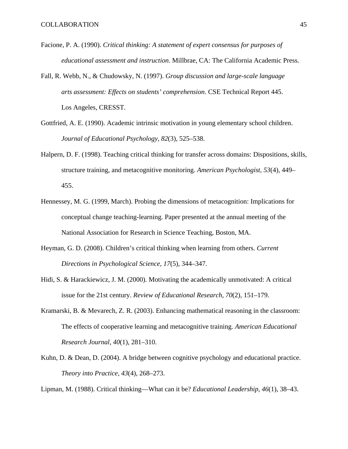- Facione, P. A. (1990). *Critical thinking: A statement of expert consensus for purposes of educational assessment and instruction*. Millbrae, CA: The California Academic Press.
- Fall, R. Webb, N., & Chudowsky, N. (1997). *Group discussion and large-scale language arts assessment: Effects on students' comprehension*. CSE Technical Report 445. Los Angeles, CRESST.
- Gottfried, A. E. (1990). Academic intrinsic motivation in young elementary school children. *Journal of Educational Psychology, 82*(3), 525–538.
- Halpern, D. F. (1998). Teaching critical thinking for transfer across domains: Dispositions, skills, structure training, and metacognitive monitoring. *American Psychologist, 53*(4), 449– 455.
- Hennessey, M. G. (1999, March). Probing the dimensions of metacognition: Implications for conceptual change teaching-learning. Paper presented at the annual meeting of the National Association for Research in Science Teaching, Boston, MA.
- Heyman, G. D. (2008). Children's critical thinking when learning from others. *Current Directions in Psychological Science, 17*(5), 344–347.
- Hidi, S. & Harackiewicz, J. M. (2000). Motivating the academically unmotivated: A critical issue for the 21st century. *Review of Educational Research, 70*(2), 151–179.
- Kramarski, B. & Mevarech, Z. R. (2003). Enhancing mathematical reasoning in the classroom: The effects of cooperative learning and metacognitive training. *American Educational Research Journal, 40*(1), 281–310.
- Kuhn, D. & Dean, D. (2004). A bridge between cognitive psychology and educational practice. *Theory into Practice, 43*(4), 268–273.

Lipman, M. (1988). Critical thinking—What can it be? *Educational Leadership, 46*(1), 38–43.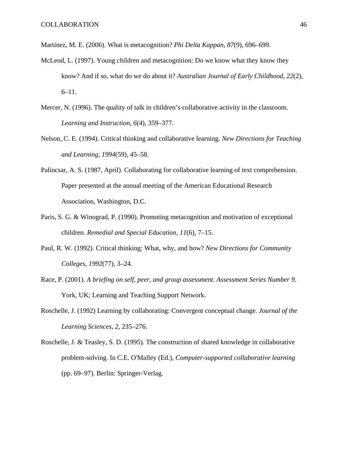Martinez, M. E. (2006). What is metacognition? *Phi Delta Kappan, 87*(9), 696–699.

- McLeod, L. (1997). Young children and metacognition: Do we know what they know they know? And if so, what do we do about it? *Australian Journal of Early Childhood, 22*(2), 6–11.
- Mercer, N. (1996). The quality of talk in children's collaborative activity in the classroom. *Learning and Instruction, 6*(4), 359–377.
- Nelson, C. E. (1994). Critical thinking and collaborative learning. *New Directions for Teaching and Learning, 1994*(59), 45–58.
- Palincsar, A. S. (1987, April). Collaborating for collaborative learning of text comprehension. Paper presented at the annual meeting of the American Educational Research Association, Washington, D.C.
- Paris, S. G. & Winograd, P. (1990). Promoting metacognition and motivation of exceptional children. *Remedial and Special Education, 11*(6), 7–15.
- Paul, R. W. (1992). Critical thinking: What, why, and how? *New Directions for Community Colleges, 1992*(77), 3–24.
- Race, P. (2001). *A briefing on self, peer, and group assessment. Assessment Series Number 9*. York, UK; Learning and Teaching Support Network.
- Roschelle, J. (1992) Learning by collaborating: Convergent conceptual change. *Journal of the Learning Sciences, 2*, 235–276.
- Roschelle, J. & Teasley, S. D. (1995). The construction of shared knowledge in collaborative problem-solving. In C.E. O'Malley (Ed.), *Computer-supported collaborative learning* (pp. 69–97). Berlin: Springer-Verlag.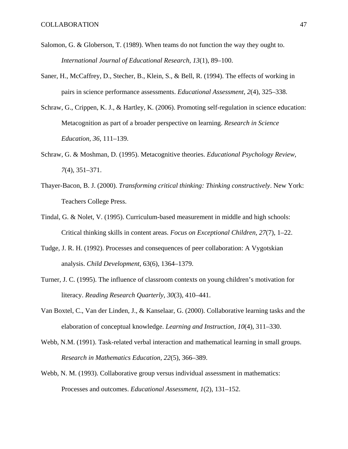- Salomon, G. & Globerson, T. (1989). When teams do not function the way they ought to. *International Journal of Educational Research, 13*(1), 89–100.
- Saner, H., McCaffrey, D., Stecher, B., Klein, S., & Bell, R. (1994). The effects of working in pairs in science performance assessments. *Educational Assessment, 2*(4), 325–338.
- Schraw, G., Crippen, K. J., & Hartley, K. (2006). Promoting self-regulation in science education: Metacognition as part of a broader perspective on learning. *Research in Science Education, 36*, 111–139.
- Schraw, G. & Moshman, D. (1995). Metacognitive theories. *Educational Psychology Review, 7*(4), 351–371.
- Thayer-Bacon, B. J. (2000). *Transforming critical thinking: Thinking constructively*. New York: Teachers College Press.
- Tindal, G. & Nolet, V. (1995). Curriculum-based measurement in middle and high schools: Critical thinking skills in content areas. *Focus on Exceptional Children, 27*(7), 1–22.
- Tudge, J. R. H. (1992). Processes and consequences of peer collaboration: A Vygotskian analysis. *Child Development*, 63(6), 1364–1379.
- Turner, J. C. (1995). The influence of classroom contexts on young children's motivation for literacy. *Reading Research Quarterly, 30*(3), 410–441.
- Van Boxtel, C., Van der Linden, J., & Kanselaar, G. (2000). Collaborative learning tasks and the elaboration of conceptual knowledge. *Learning and Instruction, 10*(4), 311–330.
- Webb, N.M. (1991). Task-related verbal interaction and mathematical learning in small groups. *Research in Mathematics Education, 22*(5), 366–389.
- Webb, N. M. (1993). Collaborative group versus individual assessment in mathematics: Processes and outcomes. *Educational Assessment, 1*(2), 131–152.